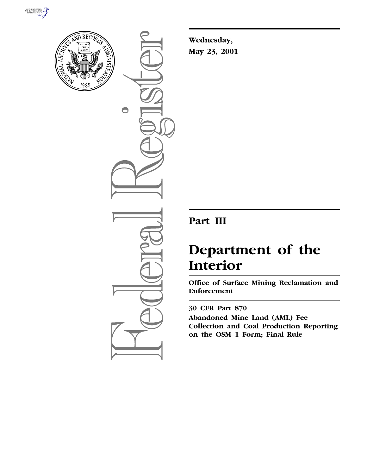



 $\bigcirc$ 

**Wednesday, May 23, 2001**

# **Part III**

# **Department of the Interior**

**Office of Surface Mining Reclamation and Enforcement**

**30 CFR Part 870 Abandoned Mine Land (AML) Fee Collection and Coal Production Reporting on the OSM–1 Form; Final Rule**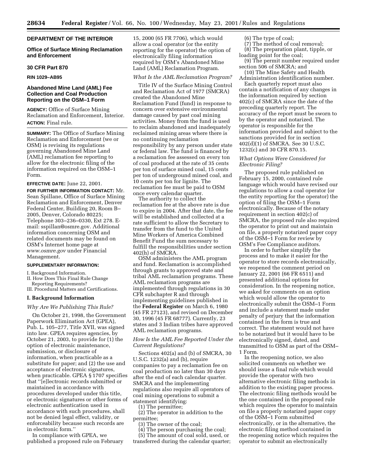#### **DEPARTMENT OF THE INTERIOR**

**Office of Surface Mining Reclamation and Enforcement**

#### **30 CFR Part 870**

**RIN 1029–AB95**

## **Abandoned Mine Land (AML) Fee Collection and Coal Production Reporting on the OSM–1 Form**

**AGENCY:** Office of Surface Mining Reclamation and Enforcement, Interior. **ACTION:** Final rule.

**SUMMARY:** The Office of Surface Mining Reclamation and Enforcement (we or OSM) is revising its regulations governing Abandoned Mine Land (AML) reclamation fee reporting to allow for the electronic filing of the information required on the OSM–1 Form.

# **EFFECTIVE DATE:** June 22, 2001.

**FOR FURTHER INFORMATION CONTACT:** Mr. Sean Spillane, Office of Surface Mining Reclamation and Enforcement, Denver Federal Center, Building 20, Room B– 2005, Denver, Colorado 80225; Telephone 303–236–0330, Ext 278. Email: sspillan@osmre.gov. Additional information concerning OSM and related documents may be found on OSM's Internet home page at *www.osmre.gov* under Financial Management.

#### **SUPPLEMENTARY INFORMATION:**

I. Background Information.

II. How Does This Final Rule Change Reporting Requirements?

III. Procedural Matters and Certifications.

#### **I. Background Information**

#### *Why Are We Publishing This Rule?*

On October 21, 1998, the Government Paperwork Elimination Act (GPEA), Pub. L. 105–277, Title XVII, was signed into law. GPEA requires agencies, by October 21, 2003, to provide for (1) the option of electronic maintenance, submission, or disclosure of information, when practicable as a substitute for paper; and (2) the use and acceptance of electronic signatures, when practicable. GPEA § 1707 specifies that ''[e]lectronic records submitted or maintained in accordance with procedures developed under this title, or electronic signatures or other forms of electronic authentication used in accordance with such procedures, shall not be denied legal effect, validity, or enforceability because such records are in electronic form.''

In compliance with GPEA, we published a proposed rule on February 15, 2000 (65 FR 7706), which would allow a coal operator (or the entity reporting for the operator) the option of electronically filing information required by OSM's Abandoned Mine Land (AML) Reclamation Program.

#### *What Is the AML Reclamation Program?*

Title IV of the Surface Mining Control and Reclamation Act of 1977 (SMCRA) created the Abandoned Mine Reclamation Fund (fund) in response to concern over extensive environmental damage caused by past coal mining activities. Money from the fund is used to reclaim abandoned and inadequately reclaimed mining areas where there is no continuing reclamation responsibility by any person under state or federal law. The fund is financed by a reclamation fee assessed on every ton of coal produced at the rate of 35 cents per ton of surface mined coal, 15 cents per ton of underground mined coal, and 10 cents per ton for lignite. The reclamation fee must be paid to OSM once every calendar quarter.

The authority to collect the reclamation fee at the above rate is due to expire in 2004. After that date, the fee will be established and collected at a rate sufficient to allow the Secretary to transfer from the fund to the United Mine Workers of America Combined Benefit Fund the sum necessary to fulfill the responsibilities under section 402(h) of SMCRA.

OSM administers the AML program and fund. Reclamation is accomplished through grants to approved state and tribal AML reclamation programs. These AML reclamation programs are implemented through regulations in 30 CFR subchapter R and through implementing guidelines published in the **Federal Register** on March 6, 1980 (45 FR 27123), and revised on December 30, 1996 (45 FR 68777). Currently, 23 states and 3 Indian tribes have approved AML reclamation programs.

#### *How Is the AML Fee Reported Under the Current Regulations?*

Sections 402(a) and (b) of SMCRA, 30 U.S.C. 1232(a) and (b), require companies to pay a reclamation fee on coal production no later than 30 days after the end of each calendar quarter. SMCRA and the implementing regulations also require all operators of coal mining operations to submit a statement identifying:

(1) The permittee;

(2) The operator in addition to the permittee;

(3) The owner of the coal;

(4) The person purchasing the coal;

(5) The amount of coal sold, used, or transferred during the calendar quarter;

# (6) The type of coal;

(7) The method of coal removal; (8) The preparation plant, tipple, or loading point for the coal;

(9) The permit number required under section 506 of SMCRA; and

(10) The Mine Safety and Health Administration identification number.

Each quarterly report must also contain a notification of any changes in the information required by section 402(c) of SMCRA since the date of the preceding quarterly report. The accuracy of the report must be sworn to by the operator and notarized. The operator is responsible for the information provided and subject to the sanctions provided for in section 402(d)(1) of SMCRA. See 30 U.S.C. 1232(c) and 30 CFR 870.15.

#### *What Options Were Considered for Electronic Filing?*

The proposed rule published on February 15, 2000, contained rule language which would have revised our regulations to allow a coal operator (or the entity reporting for the operator) the option of filing the OSM–1 Form electronically. Because of the notary requirement in section 402(c) of SMCRA, the proposed rule also required the operator to print out and maintain on file, a properly notarized paper copy of the OSM–1 Form for review by OSM's Fee Compliance auditors.

In order to further simplify the process and to make it easier for the operator to store records electronically, we reopened the comment period on January 22, 2001 (66 FR 6511) and presented additional options for consideration. In the reopening notice, we asked for comments on an option which would allow the operator to electronically submit the OSM–1 Form and include a statement made under penalty of perjury that the information contained in the form is true and correct. The statement would not have to be notarized but it would have to be electronically signed, dated, and transmitted to OSM as part of the OSM– 1 Form.

In the reopening notice, we also solicited comments on whether we should issue a final rule which would provide the operator with two alternative electronic filing methods in addition to the existing paper process. The electronic filing methods would be the one contained in the proposed rule which requires the operator to maintain on file a properly notarized paper copy of the OSM–1 Form submitted electronically, or in the alternative, the electronic filing method contained in the reopening notice which requires the operator to submit an electronically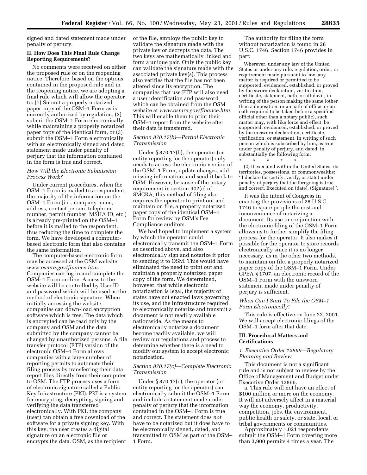signed and dated statement made under penalty of perjury.

#### **II. How Does This Final Rule Change Reporting Requirements?**

No comments were received on either the proposed rule or on the reopening notice. Therefore, based on the options contained in the proposed rule and in the reopening notice, we are adopting a final rule which will allow the operator to: (1) Submit a properly notarized paper copy of the OSM–1 Form as is currently authorized by regulation, (2) submit the OSM–1 Form electronically while maintaining a properly notarized paper copy of the identical form, or (3) submit the OSM–1 Form electronically with an electronically signed and dated statement made under penalty of perjury that the information contained in the form is true and correct.

# *How Will the Electronic Submission Process Work?*

Under current procedures, when the OSM–1 Form is mailed to a respondent, the majority of the information on the OSM–1 Form (i.e., company name, address, contact person, telephone number, permit number, MSHA ID, etc.) is already pre-printed on the OSM–1 before it is mailed to the respondent, thus reducing the time to complete the form. We have developed a computerbased electronic form that also contains the same information.

The computer-based electronic form may be accessed at the OSM website *www.osmre.gov/finance.htm.* Companies can log in and complete the OSM–1 Form on-line. Access to the website will be controlled by User ID and password which will be used as the method of electronic signature. When initially accessing the website, companies can down-load encryption software which is free. The data which is encrypted can be read only by the company and OSM and the data submitted by the company cannot be changed by unauthorized persons. A file transfer protocol (FTP) version of the electronic OSM–1 Form allows companies with a large number of reporting permits to automate their filing process by transferring their data report files directly from their computer to OSM. The FTP process uses a form of electronic signature called a Public Key Infrastructure (PKI). PKI is a system for encrypting, decrypting, signing and verifying the data transferred electronically. With PKI, the company (user) can obtain a free download of the software for a private signing key. With this key, the user creates a digital signature on an electronic file or encrypts the data. OSM, as the recipient

of the file, employs the public key to validate the signature made with the private key or decrypts the data. The two keys are mathematically linked and form a unique pair. Only the public key can validate the signature made with the associated private key(s). This process also verifies that the file has not been altered since its encryption. The companies that use FTP will also need a user identification and password which can be obtained from the OSM website at *www.osmre.gov/finance.htm.* This will enable them to print their OSM–1 report from the website after their data is transferred.

# *Section 870.17(b)—Partial Electronic Transmission*

Under § 870.17(b), the operator (or entity reporting for the operator) only needs to access the electronic version of the OSM–1 Form, update changes, add missing information, and send it back to OSM. However, because of the notary requirement in section 402(c) of SMCRA, this method of filing also requires the operator to print out and maintain on file, a properly notarized paper copy of the identical OSM–1 Form for review by OSM's Fee Compliance auditors.

We had hoped to implement a system by which the operator could electronically transmit the OSM–1 Form as described above, and also electronically sign and notarize it prior to sending it to OSM. This would have eliminated the need to print out and maintain a properly notarized paper copy of the form. We determined, however, that while electronic notarization is legal, the majority of states have not enacted laws governing its use, and the infrastructure required to electronically notarize and transmit a document is not readily available nationwide. As the means to electronically notarize a document become readily available, we will review our regulations and process to determine whether there is a need to modify our system to accept electronic notarization.

# *Section 870.17(c)—Complete Electronic Transmission*

Under § 870.17(c), the operator (or entity reporting for the operator) can electronically submit the OSM–1 Form and include a statement made under penalty of perjury that the information contained in the OSM–1 Form is true and correct. The statement does *not* have to be notarized but it does have to be electronically signed, dated, and transmitted to OSM as part of the OSM– 1 Form.

The authority for filing the form without notarization is found in 28 U.S.C. 1746. Section 1746 provides in part:

Wherever, under any law of the United States or under any rule, regulation, order, or requirement made pursuant to law, any matter is required or permitted to be supported, evidenced, established, or proved by the sworn declaration, verification, certificate, statement, oath, or affidavit, in writing of the person making the same (other than a deposition, or an oath of office, or an oath required to be taken before a specified official other than a notary public), such matter may, with like force and effect, be supported, evidenced, established, or proved by the unsworn declaration, certificate, verification, or statement, in writing of such person which is subscribed by him, as true under penalty of perjury, and dated, in substantially the following form:

\* \* \* \* \* (2) If executed within the United States, its territories, possessions, or commonwealths: ''I declare (or certify, verify, or state) under penalty of perjury that the foregoing is true and correct. Executed on (date). (Signature)''.

It was the intent of Congress in enacting the provisions of 28 U.S.C. 1746 to spare people the cost and inconvenience of notarizing a document. Its use in conjunction with the electronic filing of the OSM–1 Form allows us to further simplify the filing process for the operator. It also makes it possible for the operator to store records electronically since it is no longer necessary, as in the other two methods, to maintain on file, a properly notarized paper copy of the OSM–1 Form. Under GPEA § 1707, an electronic record of the OSM–1 Form with the unsworn statement made under penalty of perjury is sufficient.

# *When Can I Start To File the OSM–1 Form Electronically?*

This rule is effective on June 22, 2001. We will accept electronic filings of the OSM–1 form after that date.

#### **III. Procedural Matters and Certifications**

# *1. Executive Order 12866—Regulatory Planning and Review*

This document is not a significant rule and is not subject to review by the Office of Management and Budget under Executive Order 12866.

a. This rule will not have an effect of \$100 million or more on the economy. It will not adversely affect in a material way the economy, productivity, competition, jobs, the environment, public health or safety, or state, local, or tribal governments or communities.

Approximately 1,021 respondents submit the OSM–1 Form covering more than 3,900 permits 4 times a year. The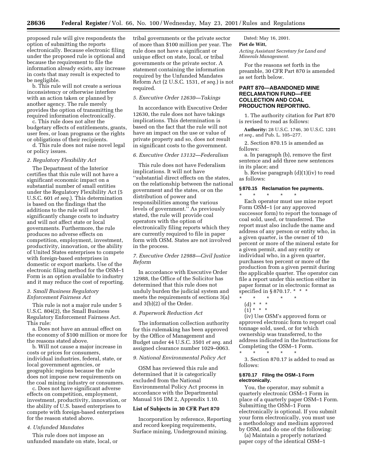proposed rule will give respondents the option of submitting the reports electronically. Because electronic filing under the proposed rule is optional and because the requirement to file the information already exists, any increase in costs that may result is expected to be negligible.

b. This rule will not create a serious inconsistency or otherwise interfere with an action taken or planned by another agency. The rule merely provides the option of transmitting the required information electronically.

c. This rule does not alter the budgetary effects of entitlements, grants, user fees, or loan programs or the rights or obligations of their recipients.

d. This rule does not raise novel legal or policy issues.

#### *2. Regulatory Flexibility Act*

The Department of the Interior certifies that this rule will not have a significant economic impact on a substantial number of small entities under the Regulatory Flexibility Act (5 U.S.C. 601 *et seq.*). This determination is based on the findings that the additions to the rule will not significantly change costs to industry and will not affect state or local governments. Furthermore, the rule produces no adverse effects on competition, employment, investment, productivity, innovation, or the ability of United States enterprises to compete with foreign-based enterprises in domestic or export markets. Use of the electronic filing method for the OSM–1 Form is an option available to industry and it may reduce the cost of reporting.

## *3. Small Business Regulatory Enforcement Fairness Act*

This rule is not a major rule under 5 U.S.C. 804(2), the Small Business Regulatory Enforcement Fairness Act. This rule:

a. Does not have an annual effect on the economy of \$100 million or more for the reasons stated above.

b. Will not cause a major increase in costs or prices for consumers, individual industries, federal, state, or local government agencies, or geographic regions because the rule does not impose new requirements on the coal mining industry or consumers.

c. Does not have significant adverse effects on competition, employment, investment, productivity, innovation, or the ability of U.S. based enterprises to compete with foreign-based enterprises for the reason stated above.

#### *4. Unfunded Mandates*

This rule does not impose an unfunded mandate on state, local, or tribal governments or the private sector of more than \$100 million per year. The rule does not have a significant or unique effect on state, local, or tribal governments or the private sector. A statement containing the information required by the Unfunded Mandates Reform Act (2 U.S.C. 1531, *et seq.*) is not required.

#### *5. Executive Order 12630—Takings*

In accordance with Executive Order 12630, the rule does not have takings implications. This determination is based on the fact that the rule will not have an impact on the use or value of private property and so, does not result in significant costs to the government.

#### *6. Executive Order 13132—Federalism*

This rule does not have Federalism implications. It will not have ''substantial direct effects on the states, on the relationship between the national government and the states, or on the distribution of power and responsibilities among the various levels of government.'' As previously stated, the rule will provide coal operators with the option of electronically filing reports which they are currently required to file in paper form with OSM. States are not involved in the process.

# *7. Executive Order 12988—Civil Justice Reform*

In accordance with Executive Order 12988, the Office of the Solicitor has determined that this rule does not unduly burden the judicial system and meets the requirements of sections 3(a) and 3(b)(2) of the Order.

#### *8. Paperwork Reduction Act*

The information collection authority for this rulemaking has been approved by the Office of Management and Budget under 44 U.S.C. 3501 *et seq.* and assigned clearance number 1029–0063.

#### *9. National Environmental Policy Act*

OSM has reviewed this rule and determined that it is categorically excluded from the National Environmental Policy Act process in accordance with the Departmental Manual 516 DM 2, Appendix 1.10.

# **List of Subjects in 30 CFR Part 870**

Incorporation by reference, Reporting and record keeping requirements, Surface mining, Underground mining.

Dated: May 16, 2001. **Piet de Witt,** *Acting Assistant Secretary for Land and*

*Minerals Management.*

For the reasons set forth in the preamble, 30 CFR Part 870 is amended as set forth below.

# **PART 870—ABANDONED MINE RECLAMATION FUND—FEE COLLECTION AND COAL PRODUCTION REPORTING.**

1. The authority citation for Part 870 is revised to read as follows:

**Authority:** 28 U.S.C. 1746, 30 U.S.C. 1201 *et seq.*, and Pub. L. 105–277.

2. Section 870.15 is amended as follows:

a. In paragraph (b), remove the first sentence and add three new sentences in its place; and

b. Revise paragraph (d)(1)(iv) to read as follows:

#### **§ 870.15 Reclamation fee payments.**

\* \* \* \* \*

Each operator must use mine report Form OSM–1 (or any approved successor form) to report the tonnage of coal sold, used, or transferred. The report must also include the name and address of any person or entity who, in a given quarter, is the owner of 10 percent or more of the mineral estate for a given permit, and any entity or individual who, in a given quarter, purchases ten percent or more of the production from a given permit during the applicable quarter. The operator can file a report under this section either in paper format or in electronic format as specified in § 870.17. \* \* \*

- \* \* \* \* \*
- (d) \* \* \*
- (1) \* \* \*

(iv) Use OSM's approved form or approved electronic form to report coal tonnage sold, used, or for which ownership was transferred, to the address indicated in the Instructions for Completing the OSM–1 Form.

3. Section 870.17 is added to read as follows:

#### **§ 870.17 Filing the OSM–1 Form electronically.**

\* \* \* \* \*

You, the operator, may submit a quarterly electronic OSM–1 Form in place of a quarterly paper OSM–1 Form. Submitting the OSM–1 Form electronically is optional. If you submit your form electronically, you must use a methodology and medium approved by OSM, and do one of the following:

(a) Maintain a properly notarized paper copy of the identical OSM–1